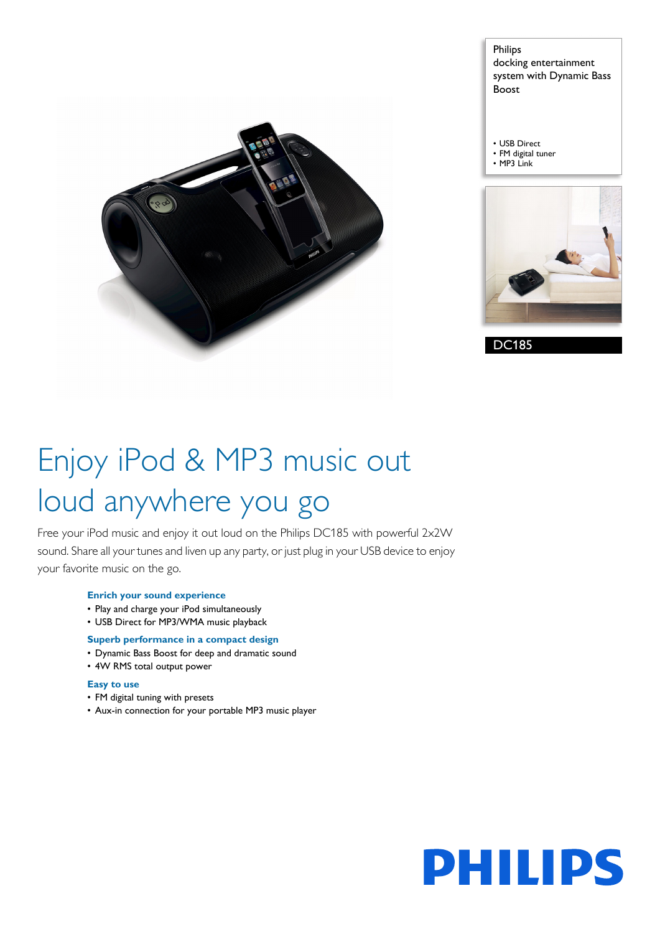

Philips docking entertainment system with Dynamic Bass Boost

- USB Direct • FM digital tuner
- MP3 Link



DC185

# Enjoy iPod & MP3 music out loud anywhere you go

Free your iPod music and enjoy it out loud on the Philips DC185 with powerful 2x2W sound. Share all your tunes and liven up any party, or just plug in your USB device to enjoy your favorite music on the go.

#### **Enrich your sound experience**

- Play and charge your iPod simultaneously
- USB Direct for MP3/WMA music playback

### **Superb performance in a compact design**

- Dynamic Bass Boost for deep and dramatic sound
- 4W RMS total output power

#### **Easy to use**

- FM digital tuning with presets
- Aux-in connection for your portable MP3 music player